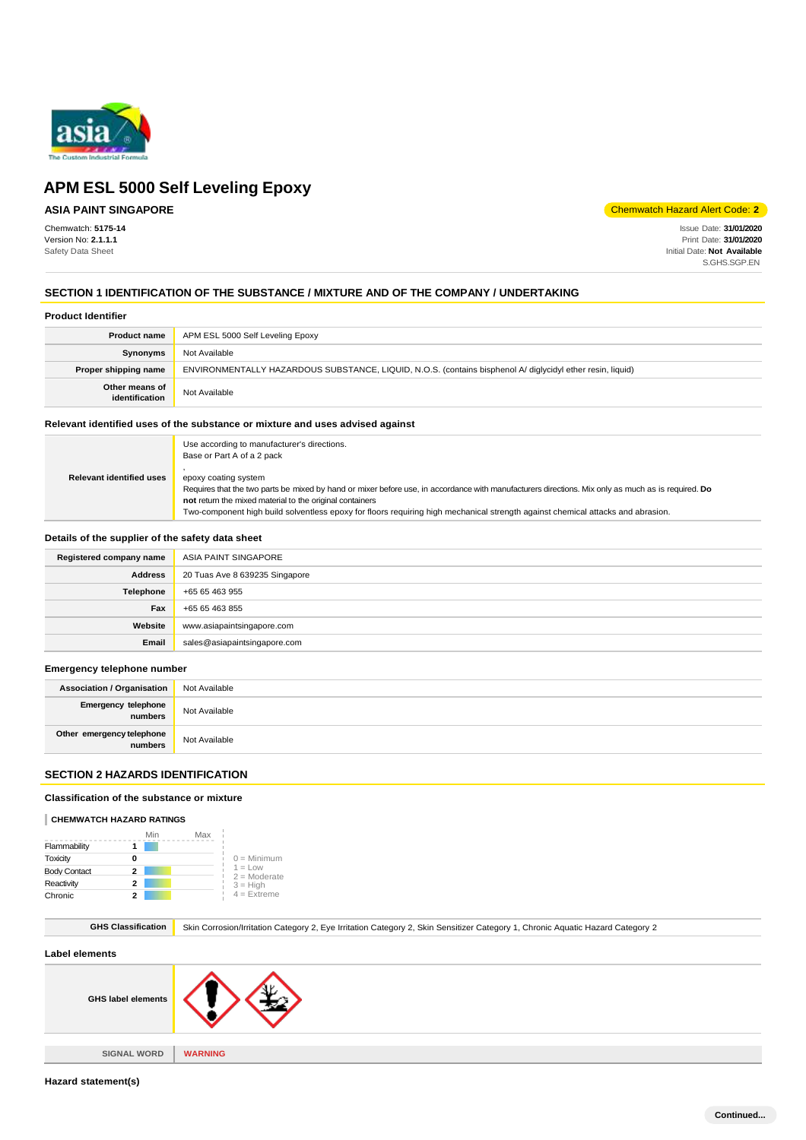

### **ASIA PAINT SINGAPORE**

Chemwatch: **5175-14** Version No: **2.1.1.1** Safety Data Sheet

Chemwatch Hazard Alert Code: **2**

Issue Date: **31/01/2020** Print Date: **31/01/2020** Initial Date: **Not Available** S.GHS.SGP.EN

### **SECTION 1 IDENTIFICATION OF THE SUBSTANCE / MIXTURE AND OF THE COMPANY / UNDERTAKING**

#### **Product Identifier**

| <b>Product name</b>              | APM ESL 5000 Self Leveling Epoxy                                                                           |
|----------------------------------|------------------------------------------------------------------------------------------------------------|
| Synonyms                         | Not Available                                                                                              |
| Proper shipping name             | ENVIRONMENTALLY HAZARDOUS SUBSTANCE, LIQUID, N.O.S. (contains bisphenol A/ diglycidyl ether resin, liquid) |
| Other means of<br>identification | Not Available                                                                                              |

#### **Relevant identified uses of the substance or mixture and uses advised against**

|                                 | Use according to manufacturer's directions.<br>Base or Part A of a 2 pack                                                                                                                   |
|---------------------------------|---------------------------------------------------------------------------------------------------------------------------------------------------------------------------------------------|
| <b>Relevant identified uses</b> | epoxy coating system<br>Requires that the two parts be mixed by hand or mixer before use, in accordance with manufacturers directions. Mix only as much as is required. Do                  |
|                                 | not return the mixed material to the original containers<br>Two-component high build solventless epoxy for floors requiring high mechanical strength against chemical attacks and abrasion. |

#### **Details of the supplier of the safety data sheet**

| Registered company name | ASIA PAINT SINGAPORE           |
|-------------------------|--------------------------------|
| <b>Address</b>          | 20 Tuas Ave 8 639235 Singapore |
| Telephone               | +65 65 463 955                 |
| Fax                     | +65 65 463 855                 |
| Website                 | www.asiapaintsingapore.com     |
| Email                   | sales@asiapaintsingapore.com   |

#### **Emergency telephone number**

| <b>Association / Organisation</b>    | Not Available |
|--------------------------------------|---------------|
| Emergency telephone<br>numbers       | Not Available |
| Other emergency telephone<br>numbers | Not Available |

### **SECTION 2 HAZARDS IDENTIFICATION**

#### **Classification of the substance or mixture**

#### **CHEMWATCH HAZARD RATINGS**

|                     | Min | Max |                             |
|---------------------|-----|-----|-----------------------------|
| Flammability        |     |     |                             |
| Toxicity            | ŋ   |     | $0 =$ Minimum               |
| <b>Body Contact</b> | 2   |     | $1 = Low$<br>$2 =$ Moderate |
| Reactivity          | 2   |     | $3 = High$                  |
| Chronic             |     |     | $4 =$ Extreme               |

GHS Classification **Skin Corrosion/Irritation Category 2, Eye Irritation Category 2, Skin Sensitizer Category 1, Chronic Aquatic Hazard Category 2** 

#### **Label elements**

| .                         |                |
|---------------------------|----------------|
| <b>GHS label elements</b> |                |
|                           |                |
| <b>SIGNAL WORD</b>        | <b>WARNING</b> |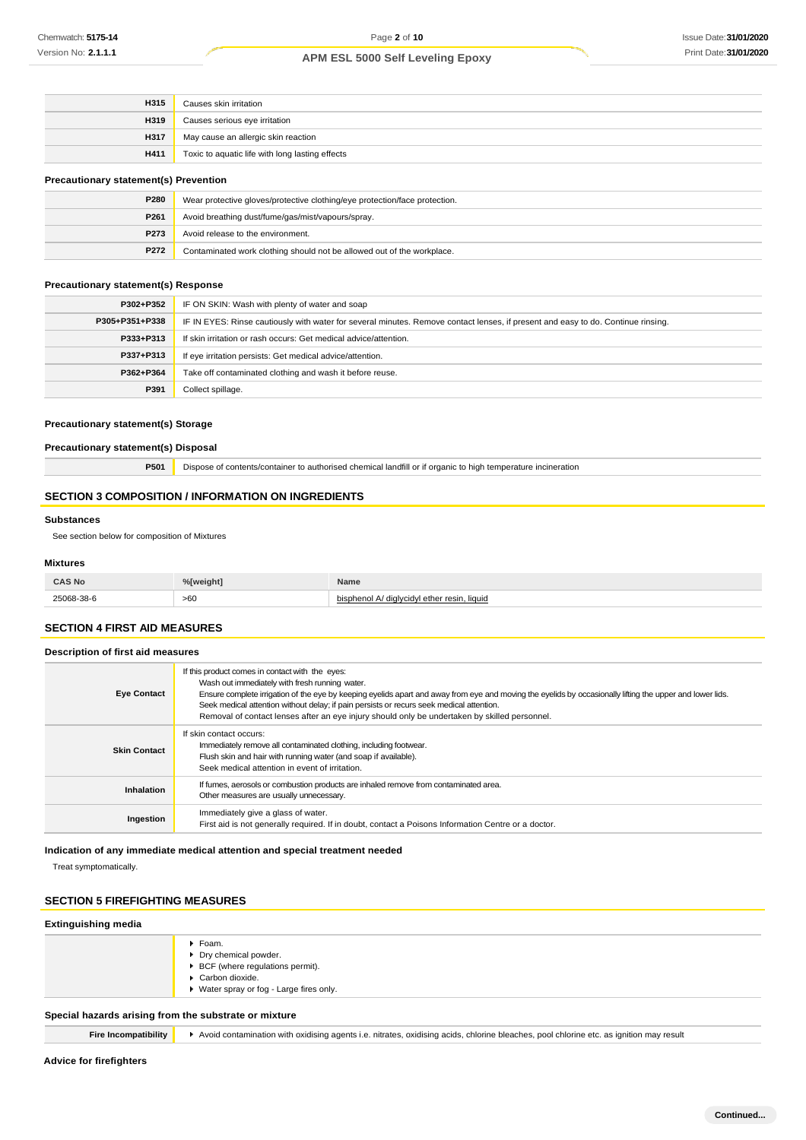| H315        | Causes skin irritation                          |
|-------------|-------------------------------------------------|
| H319        | Causes serious eye irritation                   |
| <b>H317</b> | May cause an allergic skin reaction             |
| H411        | Toxic to aquatic life with long lasting effects |
|             |                                                 |

### **Precautionary statement(s) Prevention**

| P280 | Wear protective gloves/protective clothing/eye protection/face protection. |
|------|----------------------------------------------------------------------------|
| P261 | Avoid breathing dust/fume/gas/mist/vapours/spray.                          |
| P273 | Avoid release to the environment.                                          |
| P272 | Contaminated work clothing should not be allowed out of the workplace.     |

#### **Precautionary statement(s) Response**

| P302+P352      | IF ON SKIN: Wash with plenty of water and soap                                                                                   |
|----------------|----------------------------------------------------------------------------------------------------------------------------------|
| P305+P351+P338 | IF IN EYES: Rinse cautiously with water for several minutes. Remove contact lenses, if present and easy to do. Continue rinsing. |
| P333+P313      | If skin irritation or rash occurs: Get medical advice/attention.                                                                 |
| P337+P313      | If eye irritation persists: Get medical advice/attention.                                                                        |
| P362+P364      | Take off contaminated clothing and wash it before reuse.                                                                         |
| P391           | Collect spillage.                                                                                                                |

#### **Precautionary statement(s) Storage**

**Precautionary statement(s) Disposal**

**P501** Dispose of contents/container to authorised chemical landfill or if organic to high temperature incineration

### **SECTION 3 COMPOSITION / INFORMATION ON INGREDIENTS**

#### **Substances**

See section below for composition of Mixtures

#### **Mixtures**

| <b>CAS No</b><br>___ | % <b>Tweight1</b> | Name                                    |
|----------------------|-------------------|-----------------------------------------|
| 38-38-6              | >60               | . liauid<br>resin<br>' dialvcidyl ether |

### **SECTION 4 FIRST AID MEASURES**

#### **Description of first aid measures**

| <b>Eye Contact</b>  | If this product comes in contact with the eyes:<br>Wash out immediately with fresh running water.<br>Ensure complete irrigation of the eye by keeping eyelids apart and away from eye and moving the eyelids by occasionally lifting the upper and lower lids.<br>Seek medical attention without delay; if pain persists or recurs seek medical attention.<br>Removal of contact lenses after an eye injury should only be undertaken by skilled personnel. |
|---------------------|-------------------------------------------------------------------------------------------------------------------------------------------------------------------------------------------------------------------------------------------------------------------------------------------------------------------------------------------------------------------------------------------------------------------------------------------------------------|
| <b>Skin Contact</b> | If skin contact occurs:<br>Immediately remove all contaminated clothing, including footwear.<br>Flush skin and hair with running water (and soap if available).<br>Seek medical attention in event of irritation.                                                                                                                                                                                                                                           |
| Inhalation          | If fumes, aerosols or combustion products are inhaled remove from contaminated area.<br>Other measures are usually unnecessary.                                                                                                                                                                                                                                                                                                                             |
| Ingestion           | Immediately give a glass of water.<br>First aid is not generally required. If in doubt, contact a Poisons Information Centre or a doctor.                                                                                                                                                                                                                                                                                                                   |

### **Indication of any immediate medical attention and special treatment needed**

Treat symptomatically.

### **SECTION 5 FIREFIGHTING MEASURES**

### **Extinguishing media**

|                                                       | ▶ Foam.                                  |
|-------------------------------------------------------|------------------------------------------|
|                                                       | Dry chemical powder.                     |
|                                                       | ▶ BCF (where regulations permit).        |
|                                                       | Carbon dioxide.                          |
|                                                       | ▶ Water spray or fog - Large fires only. |
| Special hazards arising from the substrate or mixture |                                          |

**Fire Incompatibility**  $\rightarrow$  Avoid contamination with oxidising agents i.e. nitrates, oxidising acids, chlorine bleaches, pool chlorine etc. as ignition may result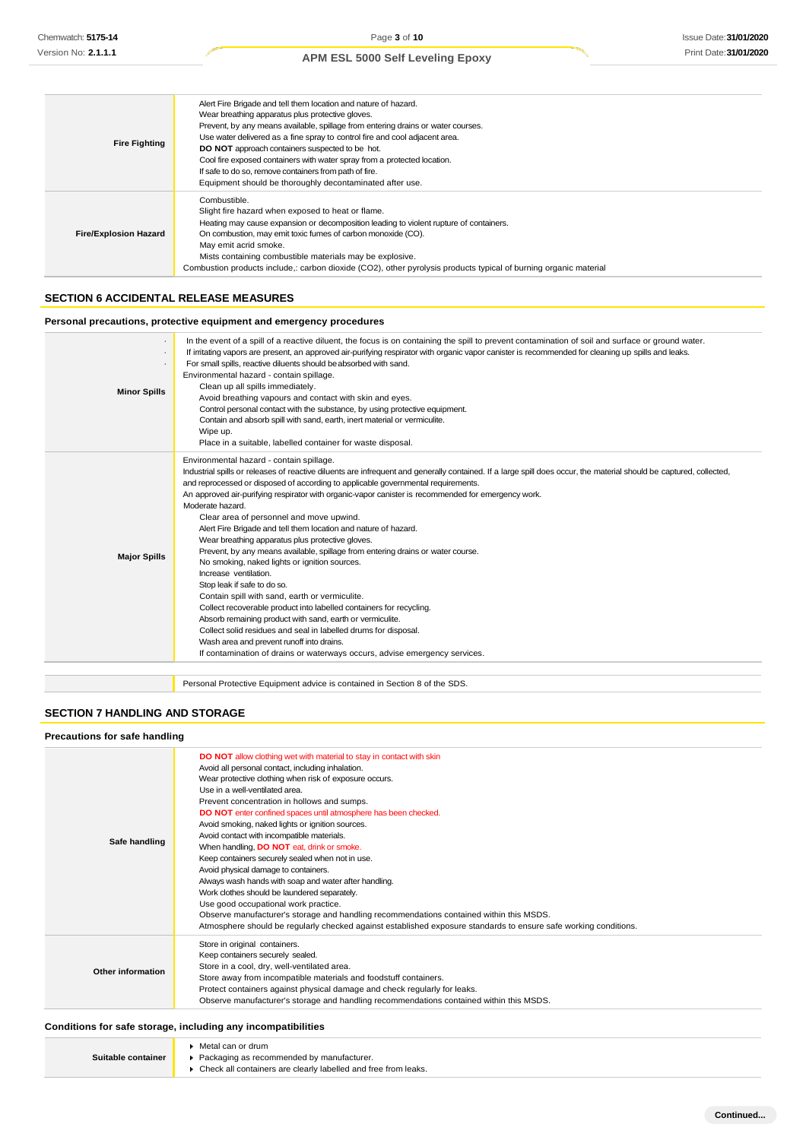| <b>Fire Fighting</b>         | Alert Fire Brigade and tell them location and nature of hazard.<br>Wear breathing apparatus plus protective gloves.<br>Prevent, by any means available, spillage from entering drains or water courses.<br>Use water delivered as a fine spray to control fire and cool adjacent area.<br>DO NOT approach containers suspected to be hot.<br>Cool fire exposed containers with water spray from a protected location.<br>If safe to do so, remove containers from path of fire.<br>Equipment should be thoroughly decontaminated after use. |
|------------------------------|---------------------------------------------------------------------------------------------------------------------------------------------------------------------------------------------------------------------------------------------------------------------------------------------------------------------------------------------------------------------------------------------------------------------------------------------------------------------------------------------------------------------------------------------|
| <b>Fire/Explosion Hazard</b> | Combustible.<br>Slight fire hazard when exposed to heat or flame.<br>Heating may cause expansion or decomposition leading to violent rupture of containers.<br>On combustion, may emit toxic fumes of carbon monoxide (CO).<br>May emit acrid smoke.<br>Mists containing combustible materials may be explosive.<br>Combustion products include,: carbon dioxide (CO2), other pyrolysis products typical of burning organic material                                                                                                        |

### **SECTION 6 ACCIDENTAL RELEASE MEASURES**

### **Personal precautions, protective equipment and emergency procedures**

| <b>Minor Spills</b> | In the event of a spill of a reactive diluent, the focus is on containing the spill to prevent contamination of soil and surface or ground water.<br>If irritating vapors are present, an approved air-purifying respirator with organic vapor canister is recommended for cleaning up spills and leaks.<br>For small spills, reactive diluents should be absorbed with sand.<br>Environmental hazard - contain spillage.<br>Clean up all spills immediately.<br>Avoid breathing vapours and contact with skin and eyes.<br>Control personal contact with the substance, by using protective equipment.<br>Contain and absorb spill with sand, earth, inert material or vermiculite.<br>Wipe up.<br>Place in a suitable, labelled container for waste disposal.                                                                                                                                                                                                                                                                                                                                                                                                                    |
|---------------------|------------------------------------------------------------------------------------------------------------------------------------------------------------------------------------------------------------------------------------------------------------------------------------------------------------------------------------------------------------------------------------------------------------------------------------------------------------------------------------------------------------------------------------------------------------------------------------------------------------------------------------------------------------------------------------------------------------------------------------------------------------------------------------------------------------------------------------------------------------------------------------------------------------------------------------------------------------------------------------------------------------------------------------------------------------------------------------------------------------------------------------------------------------------------------------|
| <b>Major Spills</b> | Environmental hazard - contain spillage.<br>Industrial spills or releases of reactive diluents are infrequent and generally contained. If a large spill does occur, the material should be captured, collected,<br>and reprocessed or disposed of according to applicable governmental requirements.<br>An approved air-purifying respirator with organic-vapor canister is recommended for emergency work.<br>Moderate hazard.<br>Clear area of personnel and move upwind.<br>Alert Fire Brigade and tell them location and nature of hazard.<br>Wear breathing apparatus plus protective gloves.<br>Prevent, by any means available, spillage from entering drains or water course.<br>No smoking, naked lights or ignition sources.<br>Increase ventilation.<br>Stop leak if safe to do so.<br>Contain spill with sand, earth or vermiculite.<br>Collect recoverable product into labelled containers for recycling.<br>Absorb remaining product with sand, earth or vermiculite.<br>Collect solid residues and seal in labelled drums for disposal.<br>Wash area and prevent runoff into drains.<br>If contamination of drains or waterways occurs, advise emergency services. |
|                     | Personal Protective Equipment advice is contained in Section 8 of the SDS.                                                                                                                                                                                                                                                                                                                                                                                                                                                                                                                                                                                                                                                                                                                                                                                                                                                                                                                                                                                                                                                                                                         |

### **SECTION 7 HANDLING AND STORAGE**

| <b>Precautions for safe handling</b> |                                                                                                                                                                                                                                                                                                                                                                                                                                                                                                                                                                                                                                                                                                                                                                                                                                                                                                                                                            |
|--------------------------------------|------------------------------------------------------------------------------------------------------------------------------------------------------------------------------------------------------------------------------------------------------------------------------------------------------------------------------------------------------------------------------------------------------------------------------------------------------------------------------------------------------------------------------------------------------------------------------------------------------------------------------------------------------------------------------------------------------------------------------------------------------------------------------------------------------------------------------------------------------------------------------------------------------------------------------------------------------------|
| Safe handling                        | <b>DO NOT</b> allow clothing wet with material to stay in contact with skin<br>Avoid all personal contact, including inhalation.<br>Wear protective clothing when risk of exposure occurs.<br>Use in a well-ventilated area.<br>Prevent concentration in hollows and sumps.<br>DO NOT enter confined spaces until atmosphere has been checked.<br>Avoid smoking, naked lights or ignition sources.<br>Avoid contact with incompatible materials.<br>When handling, DO NOT eat, drink or smoke.<br>Keep containers securely sealed when not in use.<br>Avoid physical damage to containers.<br>Always wash hands with soap and water after handling.<br>Work clothes should be laundered separately.<br>Use good occupational work practice.<br>Observe manufacturer's storage and handling recommendations contained within this MSDS.<br>Atmosphere should be regularly checked against established exposure standards to ensure safe working conditions. |
| Other information                    | Store in original containers.<br>Keep containers securely sealed.<br>Store in a cool, dry, well-ventilated area.<br>Store away from incompatible materials and foodstuff containers.<br>Protect containers against physical damage and check regularly for leaks.<br>Observe manufacturer's storage and handling recommendations contained within this MSDS.                                                                                                                                                                                                                                                                                                                                                                                                                                                                                                                                                                                               |

### **Conditions for safe storage, including any incompatibilities**

|                    | Metal can or drum                                              |
|--------------------|----------------------------------------------------------------|
| Suitable container | Packaging as recommended by manufacturer.                      |
|                    | Check all containers are clearly labelled and free from leaks. |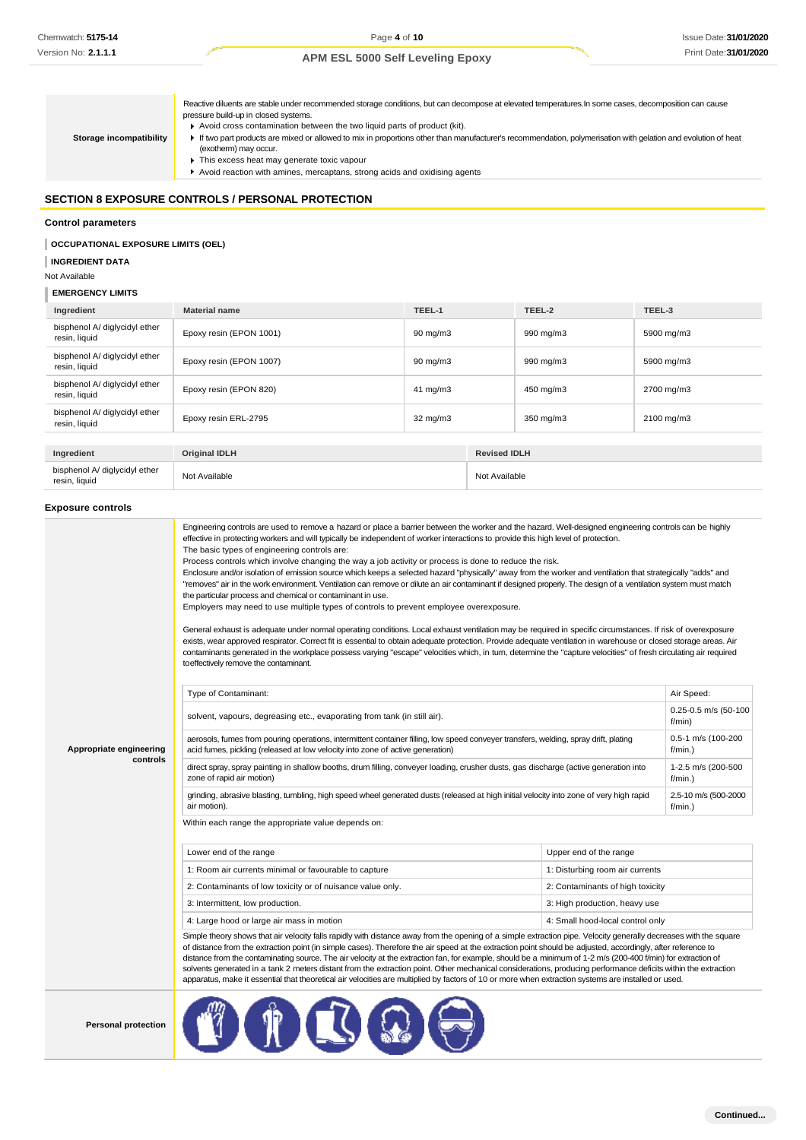Reactive diluents are stable under recommended storage conditions, but can decompose at elevated temperatures.In some cases, decomposition can cause pressure build-up in closed systems. ■ Avoid cross contamination between the two liquid parts of product (kit). If two part products are mixed or allowed to mix in proportions other than manufacturer's recommendation, polymerisation with gelation and evolution of heat (exotherm) may occur.  $\blacktriangleright$  This excess heat may generate toxic vapour Avoid reaction with amines, mercaptans, strong acids and oxidising agents **Storage incompatibility**

### **SECTION 8 EXPOSURE CONTROLS / PERSONAL PROTECTION**

#### **Control parameters**

#### **OCCUPATIONAL EXPOSURE LIMITS (OEL)**

**INGREDIENT DATA**

#### Not Available

#### I **EMERGENCY LIMITS**

| Ingredient                                     | <b>Material name</b>    | TEEL-1            |                     | TEEL-2    | TEEL-3     |
|------------------------------------------------|-------------------------|-------------------|---------------------|-----------|------------|
| bisphenol A/ diglycidyl ether<br>resin, liquid | Epoxy resin (EPON 1001) | $90 \text{ mg/m}$ |                     | 990 mg/m3 | 5900 mg/m3 |
| bisphenol A/ diglycidyl ether<br>resin, liquid | Epoxy resin (EPON 1007) | $90 \text{ mg/m}$ |                     | 990 mg/m3 | 5900 mg/m3 |
| bisphenol A/ diglycidyl ether<br>resin, liquid | Epoxy resin (EPON 820)  | $41 \text{ mg/m}$ |                     | 450 mg/m3 | 2700 mg/m3 |
| bisphenol A/ diglycidyl ether<br>resin, liquid | Epoxy resin ERL-2795    | $32 \text{ mg/m}$ |                     | 350 mg/m3 | 2100 mg/m3 |
|                                                |                         |                   |                     |           |            |
| Ingredient                                     | <b>Original IDLH</b>    |                   | <b>Revised IDLH</b> |           |            |
| bisphenol A/ diglycidyl ether<br>resin, liquid | Not Available           |                   | Not Available       |           |            |
|                                                |                         |                   |                     |           |            |

#### **Exposure controls**

|                         | Engineering controls are used to remove a hazard or place a barrier between the worker and the hazard. Well-designed engineering controls can be highly<br>effective in protecting workers and will typically be independent of worker interactions to provide this high level of protection.<br>The basic types of engineering controls are:<br>Process controls which involve changing the way a job activity or process is done to reduce the risk.<br>Enclosure and/or isolation of emission source which keeps a selected hazard "physically" away from the worker and ventilation that strategically "adds" and<br>"removes" air in the work environment. Ventilation can remove or dilute an air contaminant if designed properly. The design of a ventilation system must match<br>the particular process and chemical or contaminant in use.<br>Employers may need to use multiple types of controls to prevent employee overexposure.<br>General exhaust is adequate under normal operating conditions. Local exhaust ventilation may be required in specific circumstances. If risk of overexposure<br>exists, wear approved respirator. Correct fit is essential to obtain adequate protection. Provide adequate ventilation in warehouse or closed storage areas. Air<br>contaminants generated in the workplace possess varying "escape" velocities which, in turn, determine the "capture velocities" of fresh circulating air required<br>to effectively remove the contaminant. |                                  |                                    |
|-------------------------|--------------------------------------------------------------------------------------------------------------------------------------------------------------------------------------------------------------------------------------------------------------------------------------------------------------------------------------------------------------------------------------------------------------------------------------------------------------------------------------------------------------------------------------------------------------------------------------------------------------------------------------------------------------------------------------------------------------------------------------------------------------------------------------------------------------------------------------------------------------------------------------------------------------------------------------------------------------------------------------------------------------------------------------------------------------------------------------------------------------------------------------------------------------------------------------------------------------------------------------------------------------------------------------------------------------------------------------------------------------------------------------------------------------------------------------------------------------------------------------------------|----------------------------------|------------------------------------|
|                         | Type of Contaminant:                                                                                                                                                                                                                                                                                                                                                                                                                                                                                                                                                                                                                                                                                                                                                                                                                                                                                                                                                                                                                                                                                                                                                                                                                                                                                                                                                                                                                                                                             |                                  | Air Speed:                         |
|                         | solvent, vapours, degreasing etc., evaporating from tank (in still air).                                                                                                                                                                                                                                                                                                                                                                                                                                                                                                                                                                                                                                                                                                                                                                                                                                                                                                                                                                                                                                                                                                                                                                                                                                                                                                                                                                                                                         |                                  | 0.25-0.5 m/s (50-100<br>f/min)     |
| Appropriate engineering | aerosols, fumes from pouring operations, intermittent container filling, low speed conveyer transfers, welding, spray drift, plating<br>acid fumes, pickling (released at low velocity into zone of active generation)                                                                                                                                                                                                                                                                                                                                                                                                                                                                                                                                                                                                                                                                                                                                                                                                                                                                                                                                                                                                                                                                                                                                                                                                                                                                           | 0.5-1 m/s (100-200<br>$f/min.$ ) |                                    |
| controls                | direct spray, spray painting in shallow booths, drum filling, conveyer loading, crusher dusts, gas discharge (active generation into<br>zone of rapid air motion)                                                                                                                                                                                                                                                                                                                                                                                                                                                                                                                                                                                                                                                                                                                                                                                                                                                                                                                                                                                                                                                                                                                                                                                                                                                                                                                                |                                  | 1-2.5 m/s (200-500<br>$f/min.$ )   |
|                         | grinding, abrasive blasting, tumbling, high speed wheel generated dusts (released at high initial velocity into zone of very high rapid<br>air motion).                                                                                                                                                                                                                                                                                                                                                                                                                                                                                                                                                                                                                                                                                                                                                                                                                                                                                                                                                                                                                                                                                                                                                                                                                                                                                                                                          |                                  | 2.5-10 m/s (500-2000<br>$f/min.$ ) |
|                         | Within each range the appropriate value depends on:                                                                                                                                                                                                                                                                                                                                                                                                                                                                                                                                                                                                                                                                                                                                                                                                                                                                                                                                                                                                                                                                                                                                                                                                                                                                                                                                                                                                                                              |                                  |                                    |
|                         | Lower end of the range                                                                                                                                                                                                                                                                                                                                                                                                                                                                                                                                                                                                                                                                                                                                                                                                                                                                                                                                                                                                                                                                                                                                                                                                                                                                                                                                                                                                                                                                           | Upper end of the range           |                                    |
|                         | 1: Room air currents minimal or favourable to capture                                                                                                                                                                                                                                                                                                                                                                                                                                                                                                                                                                                                                                                                                                                                                                                                                                                                                                                                                                                                                                                                                                                                                                                                                                                                                                                                                                                                                                            | 1: Disturbing room air currents  |                                    |
|                         | 2: Contaminants of low toxicity or of nuisance value only.                                                                                                                                                                                                                                                                                                                                                                                                                                                                                                                                                                                                                                                                                                                                                                                                                                                                                                                                                                                                                                                                                                                                                                                                                                                                                                                                                                                                                                       | 2: Contaminants of high toxicity |                                    |
|                         | 3: Intermittent, low production.                                                                                                                                                                                                                                                                                                                                                                                                                                                                                                                                                                                                                                                                                                                                                                                                                                                                                                                                                                                                                                                                                                                                                                                                                                                                                                                                                                                                                                                                 | 3: High production, heavy use    |                                    |
|                         | 4: Small hood-local control only<br>4: Large hood or large air mass in motion                                                                                                                                                                                                                                                                                                                                                                                                                                                                                                                                                                                                                                                                                                                                                                                                                                                                                                                                                                                                                                                                                                                                                                                                                                                                                                                                                                                                                    |                                  |                                    |
|                         | Simple theory shows that air velocity falls rapidly with distance away from the opening of a simple extraction pipe. Velocity generally decreases with the square<br>of distance from the extraction point (in simple cases). Therefore the air speed at the extraction point should be adjusted, accordingly, after reference to<br>distance from the contaminating source. The air velocity at the extraction fan, for example, should be a minimum of 1-2 m/s (200-400 f/min) for extraction of<br>solvents generated in a tank 2 meters distant from the extraction point. Other mechanical considerations, producing performance deficits within the extraction<br>apparatus, make it essential that theoretical air velocities are multiplied by factors of 10 or more when extraction systems are installed or used.                                                                                                                                                                                                                                                                                                                                                                                                                                                                                                                                                                                                                                                                      |                                  |                                    |
|                         |                                                                                                                                                                                                                                                                                                                                                                                                                                                                                                                                                                                                                                                                                                                                                                                                                                                                                                                                                                                                                                                                                                                                                                                                                                                                                                                                                                                                                                                                                                  |                                  |                                    |

**Personal protection**

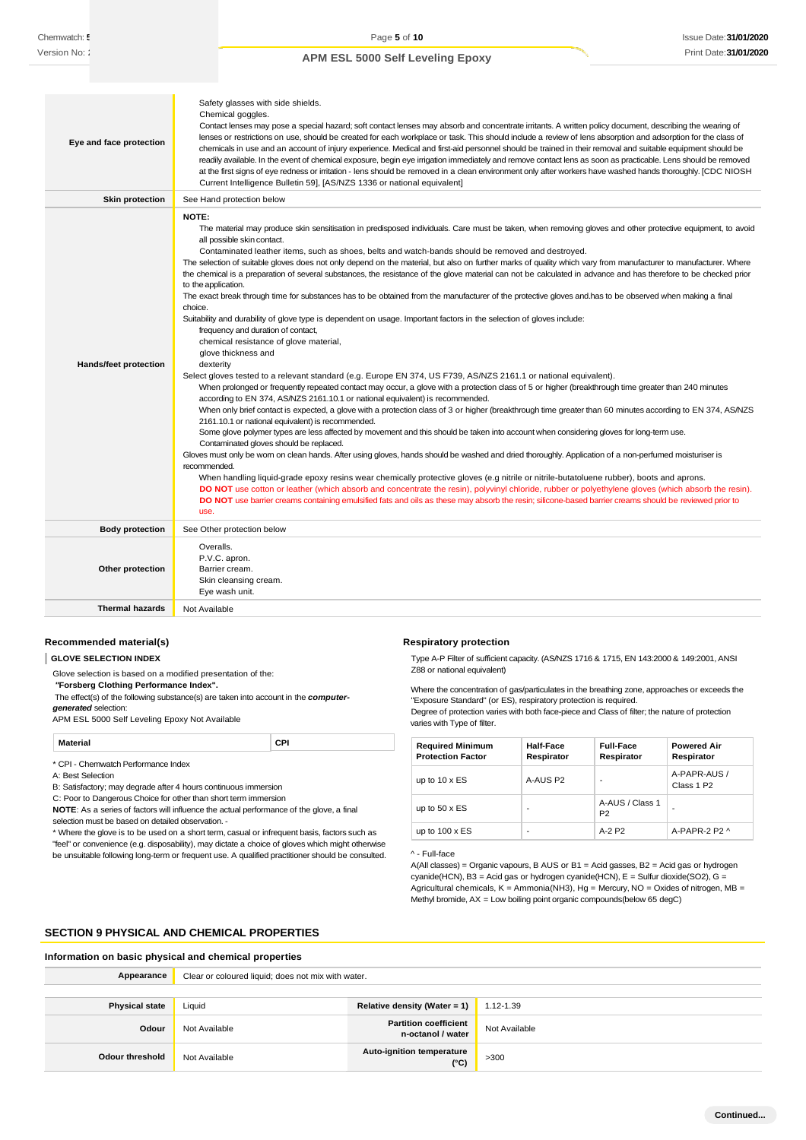| Eye and face protection      | Safety glasses with side shields.<br>Chemical goggles.<br>Contact lenses may pose a special hazard; soft contact lenses may absorb and concentrate irritants. A written policy document, describing the wearing of<br>lenses or restrictions on use, should be created for each workplace or task. This should include a review of lens absorption and adsorption for the class of<br>chemicals in use and an account of injury experience. Medical and first-aid personnel should be trained in their removal and suitable equipment should be<br>readily available. In the event of chemical exposure, begin eye irrigation immediately and remove contact lens as soon as practicable. Lens should be removed<br>at the first signs of eye redness or irritation - lens should be removed in a clean environment only after workers have washed hands thoroughly. [CDC NIOSH<br>Current Intelligence Bulletin 59], [AS/NZS 1336 or national equivalent]                                                                                                                                                                                                                                                                                                                                                                                                                                                                                                                                                                                                                                                                                                                                                                                                                                                                                                                                                                                                                                                                                                                                                                                                                                                                                                                                                                                                                                                                                                                                                       |
|------------------------------|------------------------------------------------------------------------------------------------------------------------------------------------------------------------------------------------------------------------------------------------------------------------------------------------------------------------------------------------------------------------------------------------------------------------------------------------------------------------------------------------------------------------------------------------------------------------------------------------------------------------------------------------------------------------------------------------------------------------------------------------------------------------------------------------------------------------------------------------------------------------------------------------------------------------------------------------------------------------------------------------------------------------------------------------------------------------------------------------------------------------------------------------------------------------------------------------------------------------------------------------------------------------------------------------------------------------------------------------------------------------------------------------------------------------------------------------------------------------------------------------------------------------------------------------------------------------------------------------------------------------------------------------------------------------------------------------------------------------------------------------------------------------------------------------------------------------------------------------------------------------------------------------------------------------------------------------------------------------------------------------------------------------------------------------------------------------------------------------------------------------------------------------------------------------------------------------------------------------------------------------------------------------------------------------------------------------------------------------------------------------------------------------------------------------------------------------------------------------------------------------------------------|
| Skin protection              | See Hand protection below                                                                                                                                                                                                                                                                                                                                                                                                                                                                                                                                                                                                                                                                                                                                                                                                                                                                                                                                                                                                                                                                                                                                                                                                                                                                                                                                                                                                                                                                                                                                                                                                                                                                                                                                                                                                                                                                                                                                                                                                                                                                                                                                                                                                                                                                                                                                                                                                                                                                                        |
| <b>Hands/feet protection</b> | <b>NOTE:</b><br>The material may produce skin sensitisation in predisposed individuals. Care must be taken, when removing gloves and other protective equipment, to avoid<br>all possible skin contact.<br>Contaminated leather items, such as shoes, belts and watch-bands should be removed and destroyed.<br>The selection of suitable gloves does not only depend on the material, but also on further marks of quality which vary from manufacturer to manufacturer. Where<br>the chemical is a preparation of several substances, the resistance of the glove material can not be calculated in advance and has therefore to be checked prior<br>to the application.<br>The exact break through time for substances has to be obtained from the manufacturer of the protective gloves and has to be observed when making a final<br>choice.<br>Suitability and durability of glove type is dependent on usage. Important factors in the selection of gloves include:<br>frequency and duration of contact,<br>chemical resistance of glove material,<br>glove thickness and<br>dexterity<br>Select gloves tested to a relevant standard (e.g. Europe EN 374, US F739, AS/NZS 2161.1 or national equivalent).<br>When prolonged or frequently repeated contact may occur, a glove with a protection class of 5 or higher (breakthrough time greater than 240 minutes<br>according to EN 374, AS/NZS 2161.10.1 or national equivalent) is recommended.<br>When only brief contact is expected, a glove with a protection class of 3 or higher (breakthrough time greater than 60 minutes according to EN 374, AS/NZS<br>2161.10.1 or national equivalent) is recommended.<br>Some glove polymer types are less affected by movement and this should be taken into account when considering gloves for long-term use.<br>Contaminated gloves should be replaced.<br>Gloves must only be wom on clean hands. After using gloves, hands should be washed and dried thoroughly. Application of a non-perfumed moisturiser is<br>recommended.<br>When handling liquid-grade epoxy resins wear chemically protective gloves (e.g nitrile or nitrile-butatoluene rubber), boots and aprons.<br>DO NOT use cotton or leather (which absorb and concentrate the resin), polyvinyl chloride, rubber or polyethylene gloves (which absorb the resin).<br>DO NOT use barrier creams containing emulsified fats and oils as these may absorb the resin; silicone-based barrier creams should be reviewed prior to<br>use. |
| <b>Body protection</b>       | See Other protection below                                                                                                                                                                                                                                                                                                                                                                                                                                                                                                                                                                                                                                                                                                                                                                                                                                                                                                                                                                                                                                                                                                                                                                                                                                                                                                                                                                                                                                                                                                                                                                                                                                                                                                                                                                                                                                                                                                                                                                                                                                                                                                                                                                                                                                                                                                                                                                                                                                                                                       |
| Other protection             | Overalls.<br>P.V.C. apron.<br>Barrier cream.<br>Skin cleansing cream.<br>Eye wash unit.                                                                                                                                                                                                                                                                                                                                                                                                                                                                                                                                                                                                                                                                                                                                                                                                                                                                                                                                                                                                                                                                                                                                                                                                                                                                                                                                                                                                                                                                                                                                                                                                                                                                                                                                                                                                                                                                                                                                                                                                                                                                                                                                                                                                                                                                                                                                                                                                                          |
| <b>Thermal hazards</b>       | Not Available                                                                                                                                                                                                                                                                                                                                                                                                                                                                                                                                                                                                                                                                                                                                                                                                                                                                                                                                                                                                                                                                                                                                                                                                                                                                                                                                                                                                                                                                                                                                                                                                                                                                                                                                                                                                                                                                                                                                                                                                                                                                                                                                                                                                                                                                                                                                                                                                                                                                                                    |

#### **Recommended material(s)**

**GLOVE SELECTION INDEX**

Glove selection is based on a modified presentation of the:

*"***Forsberg Clothing Performance Index".**

The effect(s) of the following substance(s) are taken into account in the *computer-*

*generated* selection:

APM ESL 5000 Self Leveling Epoxy Not Available

| Material                            | CPI |  |
|-------------------------------------|-----|--|
| * CPI - Chemwatch Performance Index |     |  |

A: Best Selection

B: Satisfactory; may degrade after 4 hours continuous immersion C: Poor to Dangerous Choice for other than short term immersion

**NOTE**: As a series of factors will influence the actual performance of the glove, a final selection must be based on detailed observation. -

\* Where the glove is to be used on a short term, casual or infrequent basis, factors such as "feel" or convenience (e.g. disposability), may dictate a choice of gloves which might otherwise be unsuitable following long-term or frequent use. A qualified practitioner should be consulted.

#### **Respiratory protection**

Type A-P Filter of sufficient capacity. (AS/NZS 1716 & 1715, EN 143:2000 & 149:2001, ANSI Z88 or national equivalent)

Where the concentration of gas/particulates in the breathing zone, approaches or exceeds the "Exposure Standard" (or ES), respiratory protection is required.

Degree of protection varies with both face-piece and Class of filter; the nature of protection varies with Type of filter.

| <b>Required Minimum</b><br><b>Protection Factor</b> | <b>Half-Face</b><br>Respirator | <b>Full-Face</b><br>Respirator    | <b>Powered Air</b><br>Respirator       |
|-----------------------------------------------------|--------------------------------|-----------------------------------|----------------------------------------|
| up to $10 \times ES$                                | A-AUS P2                       | -                                 | A-PAPR-AUS /<br>Class 1 P <sub>2</sub> |
| up to $50 \times ES$                                | -                              | A-AUS / Class 1<br>P <sub>2</sub> | -                                      |
| up to $100 \times ES$                               | -                              | $A-2P2$                           | A-PAPR-2 P2 $\land$                    |

^ - Full-face

A(All classes) = Organic vapours, B AUS or B1 = Acid gasses, B2 = Acid gas or hydrogen cyanide(HCN), B3 = Acid gas or hydrogen cyanide(HCN), E = Sulfur dioxide(SO2), G = Agricultural chemicals,  $K =$  Ammonia(NH3), Hg = Mercury, NO = Oxides of nitrogen, MB = Methyl bromide, AX = Low boiling point organic compounds(below 65 degC)

### **SECTION 9 PHYSICAL AND CHEMICAL PROPERTIES**

| Information on basic physical and chemical properties |                                                    |                                                   |               |
|-------------------------------------------------------|----------------------------------------------------|---------------------------------------------------|---------------|
| Appearance                                            | Clear or coloured liquid; does not mix with water. |                                                   |               |
|                                                       |                                                    |                                                   |               |
| <b>Physical state</b>                                 | Liquid                                             | Relative density (Water = 1)                      | 1.12-1.39     |
| Odour                                                 | Not Available                                      | <b>Partition coefficient</b><br>n-octanol / water | Not Available |
| Odour threshold                                       | Not Available                                      | Auto-ignition temperature<br>$(^{\circ}C)$        | >300          |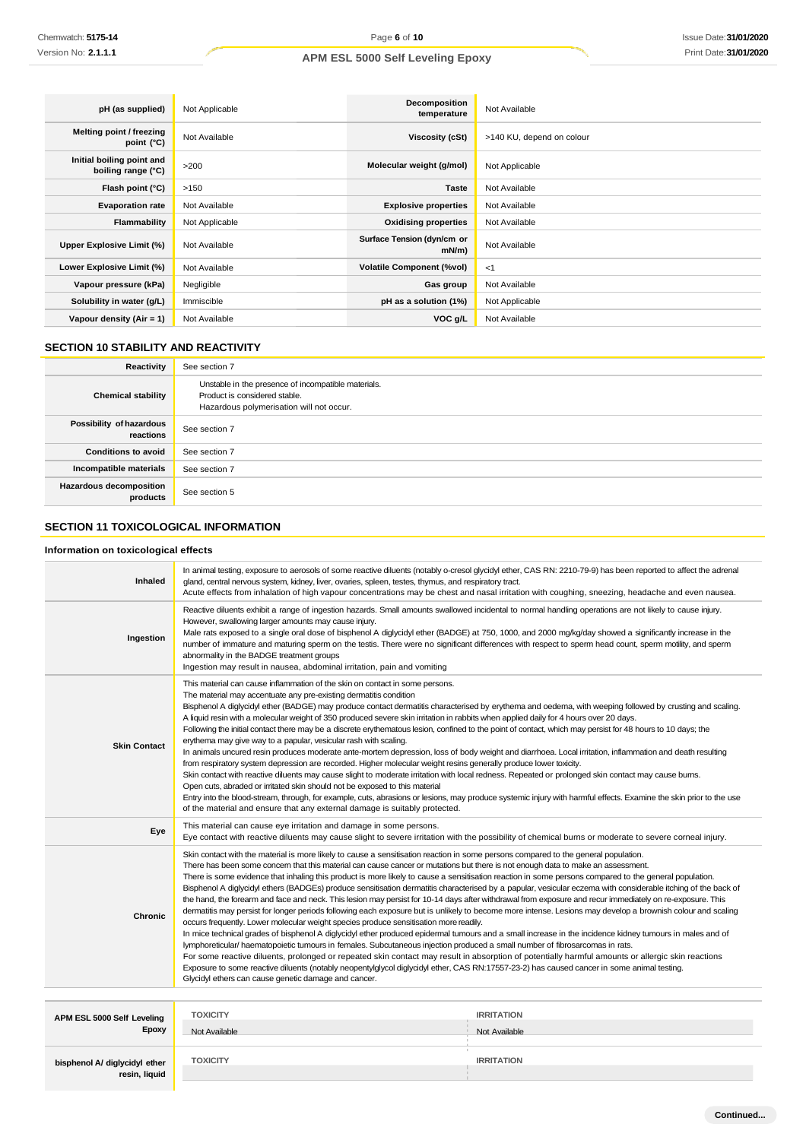| pH (as supplied)                                | Not Applicable | Decomposition<br>temperature           | Not Available             |
|-------------------------------------------------|----------------|----------------------------------------|---------------------------|
| Melting point / freezing<br>point (°C)          | Not Available  | Viscosity (cSt)                        | >140 KU, depend on colour |
| Initial boiling point and<br>boiling range (°C) | >200           | Molecular weight (g/mol)               | Not Applicable            |
| Flash point (°C)                                | >150           | <b>Taste</b>                           | Not Available             |
| <b>Evaporation rate</b>                         | Not Available  | <b>Explosive properties</b>            | Not Available             |
| Flammability                                    | Not Applicable | <b>Oxidising properties</b>            | Not Available             |
| Upper Explosive Limit (%)                       | Not Available  | Surface Tension (dyn/cm or<br>$mN/m$ ) | Not Available             |
| Lower Explosive Limit (%)                       | Not Available  | <b>Volatile Component (%vol)</b>       | < 1                       |
| Vapour pressure (kPa)                           | Negligible     | Gas group                              | Not Available             |
| Solubility in water (g/L)                       | Immiscible     | pH as a solution (1%)                  | Not Applicable            |
| Vapour density (Air = 1)                        | Not Available  | VOC g/L                                | Not Available             |

### **SECTION 10 STABILITY AND REACTIVITY**

| Reactivity                            | See section 7                                                                                                                    |
|---------------------------------------|----------------------------------------------------------------------------------------------------------------------------------|
| <b>Chemical stability</b>             | Unstable in the presence of incompatible materials.<br>Product is considered stable.<br>Hazardous polymerisation will not occur. |
| Possibility of hazardous<br>reactions | See section 7                                                                                                                    |
| <b>Conditions to avoid</b>            | See section 7                                                                                                                    |
| Incompatible materials                | See section 7                                                                                                                    |
| Hazardous decomposition<br>products   | See section 5                                                                                                                    |

## **SECTION 11 TOXICOLOGICAL INFORMATION**

#### **Information on toxicological effects**

| Inhaled                                        | In animal testing, exposure to aerosols of some reactive diluents (notably o-cresol glycidyl ether, CAS RN: 2210-79-9) has been reported to affect the adrenal<br>gland, central nervous system, kidney, liver, ovaries, spleen, testes, thymus, and respiratory tract.<br>Acute effects from inhalation of high vapour concentrations may be chest and nasal irritation with coughing, sneezing, headache and even nausea.                                                                                                                                                                                                                                                                                                                                                                                                                                                                                                                                                                                                                                                                                                                                                                                                                                                                                                                                                                                                                                                                                                                                                                                                                                                  |                   |  |
|------------------------------------------------|------------------------------------------------------------------------------------------------------------------------------------------------------------------------------------------------------------------------------------------------------------------------------------------------------------------------------------------------------------------------------------------------------------------------------------------------------------------------------------------------------------------------------------------------------------------------------------------------------------------------------------------------------------------------------------------------------------------------------------------------------------------------------------------------------------------------------------------------------------------------------------------------------------------------------------------------------------------------------------------------------------------------------------------------------------------------------------------------------------------------------------------------------------------------------------------------------------------------------------------------------------------------------------------------------------------------------------------------------------------------------------------------------------------------------------------------------------------------------------------------------------------------------------------------------------------------------------------------------------------------------------------------------------------------------|-------------------|--|
| Ingestion                                      | Reactive diluents exhibit a range of ingestion hazards. Small amounts swallowed incidental to normal handling operations are not likely to cause injury.<br>However, swallowing larger amounts may cause injury.<br>Male rats exposed to a single oral dose of bisphenol A diglycidyl ether (BADGE) at 750, 1000, and 2000 mg/kg/day showed a significantly increase in the<br>number of immature and maturing sperm on the testis. There were no significant differences with respect to sperm head count, sperm motility, and sperm<br>abnormality in the BADGE treatment groups<br>Ingestion may result in nausea, abdominal irritation, pain and vomiting                                                                                                                                                                                                                                                                                                                                                                                                                                                                                                                                                                                                                                                                                                                                                                                                                                                                                                                                                                                                                |                   |  |
| <b>Skin Contact</b>                            | This material can cause inflammation of the skin on contact in some persons.<br>The material may accentuate any pre-existing dermatitis condition<br>Bisphenol A diglycidyl ether (BADGE) may produce contact dermatitis characterised by erythema and oedema, with weeping followed by crusting and scaling.<br>A liquid resin with a molecular weight of 350 produced severe skin irritation in rabbits when applied daily for 4 hours over 20 days.<br>Following the initial contact there may be a discrete erythematous lesion, confined to the point of contact, which may persist for 48 hours to 10 days; the<br>erythema may give way to a papular, vesicular rash with scaling.<br>In animals uncured resin produces moderate ante-mortem depression, loss of body weight and diarrhoea. Local irritation, inflammation and death resulting<br>from respiratory system depression are recorded. Higher molecular weight resins generally produce lower toxicity.<br>Skin contact with reactive diluents may cause slight to moderate irritation with local redness. Repeated or prolonged skin contact may cause burns.<br>Open cuts, abraded or irritated skin should not be exposed to this material<br>Entry into the blood-stream, through, for example, cuts, abrasions or lesions, may produce systemic injury with harmful effects. Examine the skin prior to the use<br>of the material and ensure that any external damage is suitably protected.                                                                                                                                                                                                         |                   |  |
| Eye                                            | This material can cause eye irritation and damage in some persons.<br>Eye contact with reactive diluents may cause slight to severe irritation with the possibility of chemical burns or moderate to severe corneal injury.                                                                                                                                                                                                                                                                                                                                                                                                                                                                                                                                                                                                                                                                                                                                                                                                                                                                                                                                                                                                                                                                                                                                                                                                                                                                                                                                                                                                                                                  |                   |  |
| <b>Chronic</b>                                 | Skin contact with the material is more likely to cause a sensitisation reaction in some persons compared to the general population.<br>There has been some concem that this material can cause cancer or mutations but there is not enough data to make an assessment.<br>There is some evidence that inhaling this product is more likely to cause a sensitisation reaction in some persons compared to the general population.<br>Bisphenol A diglycidyl ethers (BADGEs) produce sensitisation dermatitis characterised by a papular, vesicular eczema with considerable itching of the back of<br>the hand, the forearm and face and neck. This lesion may persist for 10-14 days after withdrawal from exposure and recur immediately on re-exposure. This<br>dermatitis may persist for longer periods following each exposure but is unlikely to become more intense. Lesions may develop a brownish colour and scaling<br>occurs frequently. Lower molecular weight species produce sensitisation more readily.<br>In mice technical grades of bisphenol A diglycidyl ether produced epidermal tumours and a small increase in the incidence kidney tumours in males and of<br>lymphoreticular/haematopoietic tumours in females. Subcutaneous injection produced a small number of fibrosarcomas in rats.<br>For some reactive diluents, prolonged or repeated skin contact may result in absorption of potentially harmful amounts or allergic skin reactions<br>Exposure to some reactive diluents (notably neopentylglycol diglycidyl ether, CAS RN:17557-23-2) has caused cancer in some animal testing.<br>Glycidyl ethers can cause genetic damage and cancer. |                   |  |
|                                                |                                                                                                                                                                                                                                                                                                                                                                                                                                                                                                                                                                                                                                                                                                                                                                                                                                                                                                                                                                                                                                                                                                                                                                                                                                                                                                                                                                                                                                                                                                                                                                                                                                                                              |                   |  |
| APM ESL 5000 Self Leveling                     | <b>TOXICITY</b>                                                                                                                                                                                                                                                                                                                                                                                                                                                                                                                                                                                                                                                                                                                                                                                                                                                                                                                                                                                                                                                                                                                                                                                                                                                                                                                                                                                                                                                                                                                                                                                                                                                              | <b>IRRITATION</b> |  |
| <b>Epoxy</b>                                   | Not Available                                                                                                                                                                                                                                                                                                                                                                                                                                                                                                                                                                                                                                                                                                                                                                                                                                                                                                                                                                                                                                                                                                                                                                                                                                                                                                                                                                                                                                                                                                                                                                                                                                                                | Not Available     |  |
| bisphenol A/ diglycidyl ether<br>resin, liquid | <b>TOXICITY</b>                                                                                                                                                                                                                                                                                                                                                                                                                                                                                                                                                                                                                                                                                                                                                                                                                                                                                                                                                                                                                                                                                                                                                                                                                                                                                                                                                                                                                                                                                                                                                                                                                                                              | <b>IRRITATION</b> |  |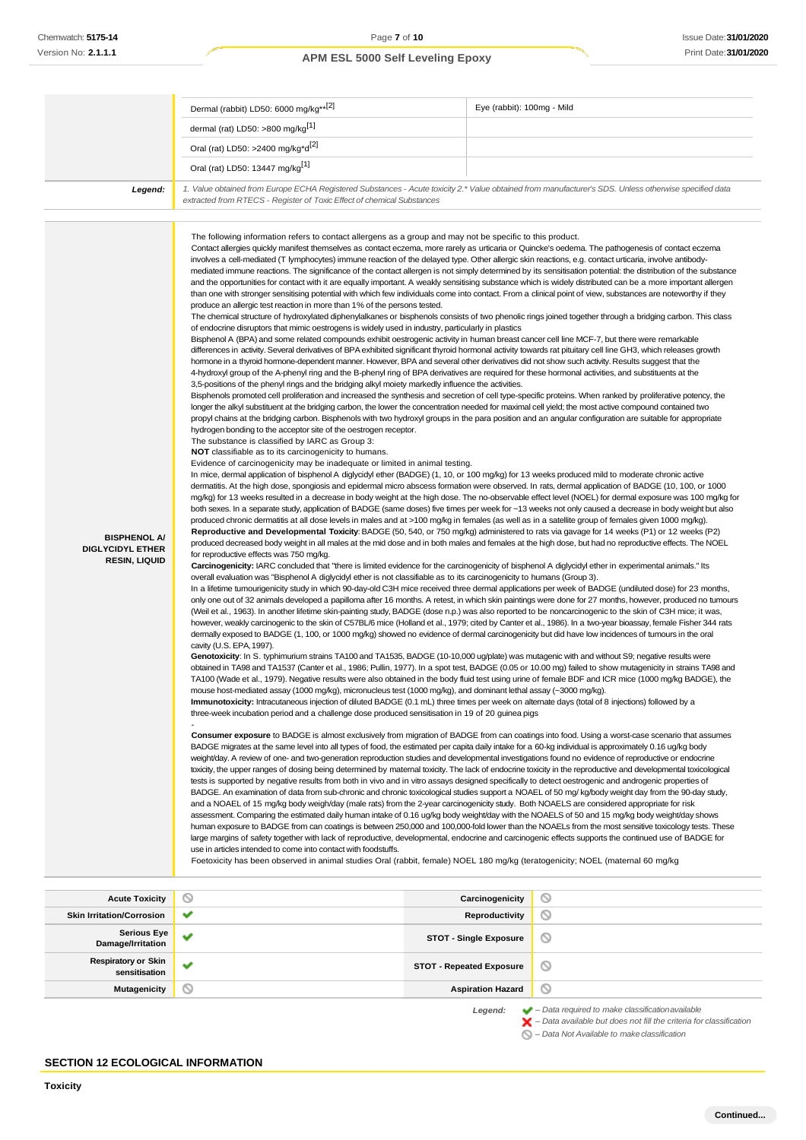|                                                                        | Dermal (rabbit) LD50: 6000 mg/kg**[2]                                                                                                                                                                                                                                                                                                                                                                                                                                                                                                                                                                                                                                                                                                                                                                                                                                                                                                                                                                                                                                                                                                                                                                                                                                                                                                                                                                                                                                                                                                                                                                                                                                                                                                                                                                                                                                                                                                                                                                                                                                                                                                                                                                                                                                                                                                                                                                                                                                                                                                                                                                                                                                                                                                                                                                                                                                                                                                                                                                                                                                                                                                                                                                                                                                                                                                                                                                                                                                                                                                                                                                                               | Eye (rabbit): 100mg - Mild                                                                                                                                                                                                                                                                                                                                                                                                                                                                                                                                                                                                                                                                                                                                                                                                                                                                                                                                                                                                                                                                                                                                                                                                                                                                                                                                                                                                                                                                                                                                                                                                                                                                                                                                                                                                                                                                                                                                                                                                                                                                                                                                                                                                                                                                                                                                                                                                                                                                                                                                                                                                                                                                                                                                                                                                                                                                                                                                                                                                                                                                                                                                                                                                                                                                                                                                                                                                                                                                                                                                                                                                                                                                                                                                                                                                                                                                                                                                                                                           |
|------------------------------------------------------------------------|-------------------------------------------------------------------------------------------------------------------------------------------------------------------------------------------------------------------------------------------------------------------------------------------------------------------------------------------------------------------------------------------------------------------------------------------------------------------------------------------------------------------------------------------------------------------------------------------------------------------------------------------------------------------------------------------------------------------------------------------------------------------------------------------------------------------------------------------------------------------------------------------------------------------------------------------------------------------------------------------------------------------------------------------------------------------------------------------------------------------------------------------------------------------------------------------------------------------------------------------------------------------------------------------------------------------------------------------------------------------------------------------------------------------------------------------------------------------------------------------------------------------------------------------------------------------------------------------------------------------------------------------------------------------------------------------------------------------------------------------------------------------------------------------------------------------------------------------------------------------------------------------------------------------------------------------------------------------------------------------------------------------------------------------------------------------------------------------------------------------------------------------------------------------------------------------------------------------------------------------------------------------------------------------------------------------------------------------------------------------------------------------------------------------------------------------------------------------------------------------------------------------------------------------------------------------------------------------------------------------------------------------------------------------------------------------------------------------------------------------------------------------------------------------------------------------------------------------------------------------------------------------------------------------------------------------------------------------------------------------------------------------------------------------------------------------------------------------------------------------------------------------------------------------------------------------------------------------------------------------------------------------------------------------------------------------------------------------------------------------------------------------------------------------------------------------------------------------------------------------------------------------------------------------------------------------------------------------------------------------------------------|----------------------------------------------------------------------------------------------------------------------------------------------------------------------------------------------------------------------------------------------------------------------------------------------------------------------------------------------------------------------------------------------------------------------------------------------------------------------------------------------------------------------------------------------------------------------------------------------------------------------------------------------------------------------------------------------------------------------------------------------------------------------------------------------------------------------------------------------------------------------------------------------------------------------------------------------------------------------------------------------------------------------------------------------------------------------------------------------------------------------------------------------------------------------------------------------------------------------------------------------------------------------------------------------------------------------------------------------------------------------------------------------------------------------------------------------------------------------------------------------------------------------------------------------------------------------------------------------------------------------------------------------------------------------------------------------------------------------------------------------------------------------------------------------------------------------------------------------------------------------------------------------------------------------------------------------------------------------------------------------------------------------------------------------------------------------------------------------------------------------------------------------------------------------------------------------------------------------------------------------------------------------------------------------------------------------------------------------------------------------------------------------------------------------------------------------------------------------------------------------------------------------------------------------------------------------------------------------------------------------------------------------------------------------------------------------------------------------------------------------------------------------------------------------------------------------------------------------------------------------------------------------------------------------------------------------------------------------------------------------------------------------------------------------------------------------------------------------------------------------------------------------------------------------------------------------------------------------------------------------------------------------------------------------------------------------------------------------------------------------------------------------------------------------------------------------------------------------------------------------------------------------------------------------------------------------------------------------------------------------------------------------------------------------------------------------------------------------------------------------------------------------------------------------------------------------------------------------------------------------------------------------------------------------------------------------------------------------------------------------------------------------|
|                                                                        | dermal (rat) LD50: >800 mg/kg <sup>[1]</sup>                                                                                                                                                                                                                                                                                                                                                                                                                                                                                                                                                                                                                                                                                                                                                                                                                                                                                                                                                                                                                                                                                                                                                                                                                                                                                                                                                                                                                                                                                                                                                                                                                                                                                                                                                                                                                                                                                                                                                                                                                                                                                                                                                                                                                                                                                                                                                                                                                                                                                                                                                                                                                                                                                                                                                                                                                                                                                                                                                                                                                                                                                                                                                                                                                                                                                                                                                                                                                                                                                                                                                                                        |                                                                                                                                                                                                                                                                                                                                                                                                                                                                                                                                                                                                                                                                                                                                                                                                                                                                                                                                                                                                                                                                                                                                                                                                                                                                                                                                                                                                                                                                                                                                                                                                                                                                                                                                                                                                                                                                                                                                                                                                                                                                                                                                                                                                                                                                                                                                                                                                                                                                                                                                                                                                                                                                                                                                                                                                                                                                                                                                                                                                                                                                                                                                                                                                                                                                                                                                                                                                                                                                                                                                                                                                                                                                                                                                                                                                                                                                                                                                                                                                                      |
|                                                                        | Oral (rat) LD50: >2400 mg/kg*d <sup>[2]</sup>                                                                                                                                                                                                                                                                                                                                                                                                                                                                                                                                                                                                                                                                                                                                                                                                                                                                                                                                                                                                                                                                                                                                                                                                                                                                                                                                                                                                                                                                                                                                                                                                                                                                                                                                                                                                                                                                                                                                                                                                                                                                                                                                                                                                                                                                                                                                                                                                                                                                                                                                                                                                                                                                                                                                                                                                                                                                                                                                                                                                                                                                                                                                                                                                                                                                                                                                                                                                                                                                                                                                                                                       |                                                                                                                                                                                                                                                                                                                                                                                                                                                                                                                                                                                                                                                                                                                                                                                                                                                                                                                                                                                                                                                                                                                                                                                                                                                                                                                                                                                                                                                                                                                                                                                                                                                                                                                                                                                                                                                                                                                                                                                                                                                                                                                                                                                                                                                                                                                                                                                                                                                                                                                                                                                                                                                                                                                                                                                                                                                                                                                                                                                                                                                                                                                                                                                                                                                                                                                                                                                                                                                                                                                                                                                                                                                                                                                                                                                                                                                                                                                                                                                                                      |
|                                                                        | Oral (rat) LD50: 13447 mg/kg <sup>[1]</sup>                                                                                                                                                                                                                                                                                                                                                                                                                                                                                                                                                                                                                                                                                                                                                                                                                                                                                                                                                                                                                                                                                                                                                                                                                                                                                                                                                                                                                                                                                                                                                                                                                                                                                                                                                                                                                                                                                                                                                                                                                                                                                                                                                                                                                                                                                                                                                                                                                                                                                                                                                                                                                                                                                                                                                                                                                                                                                                                                                                                                                                                                                                                                                                                                                                                                                                                                                                                                                                                                                                                                                                                         |                                                                                                                                                                                                                                                                                                                                                                                                                                                                                                                                                                                                                                                                                                                                                                                                                                                                                                                                                                                                                                                                                                                                                                                                                                                                                                                                                                                                                                                                                                                                                                                                                                                                                                                                                                                                                                                                                                                                                                                                                                                                                                                                                                                                                                                                                                                                                                                                                                                                                                                                                                                                                                                                                                                                                                                                                                                                                                                                                                                                                                                                                                                                                                                                                                                                                                                                                                                                                                                                                                                                                                                                                                                                                                                                                                                                                                                                                                                                                                                                                      |
| Legend:                                                                | extracted from RTECS - Register of Toxic Effect of chemical Substances                                                                                                                                                                                                                                                                                                                                                                                                                                                                                                                                                                                                                                                                                                                                                                                                                                                                                                                                                                                                                                                                                                                                                                                                                                                                                                                                                                                                                                                                                                                                                                                                                                                                                                                                                                                                                                                                                                                                                                                                                                                                                                                                                                                                                                                                                                                                                                                                                                                                                                                                                                                                                                                                                                                                                                                                                                                                                                                                                                                                                                                                                                                                                                                                                                                                                                                                                                                                                                                                                                                                                              | 1. Value obtained from Europe ECHA Registered Substances - Acute toxicity 2.* Value obtained from manufacturer's SDS. Unless otherwise specified data                                                                                                                                                                                                                                                                                                                                                                                                                                                                                                                                                                                                                                                                                                                                                                                                                                                                                                                                                                                                                                                                                                                                                                                                                                                                                                                                                                                                                                                                                                                                                                                                                                                                                                                                                                                                                                                                                                                                                                                                                                                                                                                                                                                                                                                                                                                                                                                                                                                                                                                                                                                                                                                                                                                                                                                                                                                                                                                                                                                                                                                                                                                                                                                                                                                                                                                                                                                                                                                                                                                                                                                                                                                                                                                                                                                                                                                                |
| <b>BISPHENOL A/</b><br><b>DIGLYCIDYL ETHER</b><br><b>RESIN, LIQUID</b> | The following information refers to contact allergens as a group and may not be specific to this product.<br>involves a cell-mediated (T lymphocytes) immune reaction of the delayed type. Other allergic skin reactions, e.g. contact urticaria, involve antibody-<br>produce an allergic test reaction in more than 1% of the persons tested.<br>of endocrine disruptors that mimic oestrogens is widely used in industry, particularly in plastics<br>Bisphenol A (BPA) and some related compounds exhibit oestrogenic activity in human breast cancer cell line MCF-7, but there were remarkable<br>hormone in a thyroid hormone-dependent manner. However, BPA and several other derivatives did not show such activity. Results suggest that the<br>4-hydroxyl group of the A-phenyl ring and the B-phenyl ring of BPA derivatives are required for these hormonal activities, and substituents at the<br>3,5-positions of the phenyl rings and the bridging alkyl moiety markedly influence the activities.<br>longer the alkyl substituent at the bridging carbon, the lower the concentration needed for maximal cell yield; the most active compound contained two<br>hydrogen bonding to the acceptor site of the oestrogen receptor.<br>The substance is classified by IARC as Group 3:<br><b>NOT</b> classifiable as to its carcinogenicity to humans.<br>Evidence of carcinogenicity may be inadequate or limited in animal testing.<br>In mice, dermal application of bisphenol A diglycidyl ether (BADGE) (1, 10, or 100 mg/kg) for 13 weeks produced mild to moderate chronic active<br>produced chronic dermatitis at all dose levels in males and at >100 mg/kg in females (as well as in a satellite group of females given 1000 mg/kg).<br>for reproductive effects was 750 mg/kg.<br>Carcinogenicity: IARC concluded that "there is limited evidence for the carcinogenicity of bisphenol A diglycidyl ether in experimental animals." Its<br>overall evaluation was "Bisphenol A diglycidyl ether is not classifiable as to its carcinogenicity to humans (Group 3).<br>dermally exposed to BADGE (1, 100, or 1000 mg/kg) showed no evidence of dermal carcinogenicity but did have low incidences of tumours in the oral<br>cavity (U.S. EPA, 1997).<br>Genotoxicity: In S. typhimurium strains TA100 and TA1535, BADGE (10-10,000 ug/plate) was mutagenic with and without S9; negative results were<br>mouse host-mediated assay (1000 mg/kg), micronucleus test (1000 mg/kg), and dominant lethal assay (~3000 mg/kg).<br>Immunotoxicity: Intracutaneous injection of diluted BADGE (0.1 mL) three times per week on alternate days (total of 8 injections) followed by a<br>three-week incubation period and a challenge dose produced sensitisation in 19 of 20 quinea pigs<br>BADGE migrates at the same level into all types of food, the estimated per capita daily intake for a 60-kg individual is approximately 0.16 ug/kg body<br>weight/day. A review of one- and two-generation reproduction studies and developmental investigations found no evidence of reproductive or endocrine<br>tests is supported by negative results from both in vivo and in vitro assays designed specifically to detect oestrogenic and androgenic properties of<br>and a NOAEL of 15 mg/kg body weigh/day (male rats) from the 2-year carcinogenicity study. Both NOAELS are considered appropriate for risk<br>use in articles intended to come into contact with foodstuffs.<br>Foetoxicity has been observed in animal studies Oral (rabbit, female) NOEL 180 mg/kg (teratogenicity; NOEL (maternal 60 mg/kg | Contact allergies quickly manifest themselves as contact eczema, more rarely as urticaria or Quincke's oedema. The pathogenesis of contact eczema<br>mediated immune reactions. The significance of the contact allergen is not simply determined by its sensitisation potential: the distribution of the substance<br>and the opportunities for contact with it are equally important. A weakly sensitising substance which is widely distributed can be a more important allergen<br>than one with stronger sensitising potential with which few individuals come into contact. From a clinical point of view, substances are noteworthy if they<br>The chemical structure of hydroxylated diphenylalkanes or bisphenols consists of two phenolic rings joined together through a bridging carbon. This class<br>differences in activity. Several derivatives of BPA exhibited significant thyroid hormonal activity towards rat pituitary cell line GH3, which releases growth<br>Bisphenols promoted cell proliferation and increased the synthesis and secretion of cell type-specific proteins. When ranked by proliferative potency, the<br>propyl chains at the bridging carbon. Bisphenols with two hydroxyl groups in the para position and an angular configuration are suitable for appropriate<br>dermatitis. At the high dose, spongiosis and epidermal micro abscess formation were observed. In rats, dermal application of BADGE (10, 100, or 1000<br>mg/kg) for 13 weeks resulted in a decrease in body weight at the high dose. The no-observable effect level (NOEL) for dermal exposure was 100 mg/kg for<br>both sexes. In a separate study, application of BADGE (same doses) five times per week for ~13 weeks not only caused a decrease in body weight but also<br>Reproductive and Developmental Toxicity: BADGE (50, 540, or 750 mg/kg) administered to rats via gavage for 14 weeks (P1) or 12 weeks (P2)<br>produced decreased body weight in all males at the mid dose and in both males and females at the high dose, but had no reproductive effects. The NOEL<br>In a lifetime tumourigenicity study in which 90-day-old C3H mice received three dermal applications per week of BADGE (undiluted dose) for 23 months,<br>only one out of 32 animals developed a papilloma after 16 months. A retest, in which skin paintings were done for 27 months, however, produced no tumours<br>(Weil et al., 1963). In another lifetime skin-painting study, BADGE (dose n.p.) was also reported to be noncarcinogenic to the skin of C3H mice; it was,<br>however, weakly carcinogenic to the skin of C57BL/6 mice (Holland et al., 1979; cited by Canter et al., 1986). In a two-year bioassay, female Fisher 344 rats<br>obtained in TA98 and TA1537 (Canter et al., 1986; Pullin, 1977). In a spot test, BADGE (0.05 or 10.00 mg) failed to show mutagenicity in strains TA98 and<br>TA100 (Wade et al., 1979). Negative results were also obtained in the body fluid test using urine of female BDF and ICR mice (1000 mg/kg BADGE), the<br>Consumer exposure to BADGE is almost exclusively from migration of BADGE from can coatings into food. Using a worst-case scenario that assumes<br>toxicity, the upper ranges of dosing being determined by maternal toxicity. The lack of endocrine toxicity in the reproductive and developmental toxicological<br>BADGE. An examination of data from sub-chronic and chronic toxicological studies support a NOAEL of 50 mg/ kg/body weight day from the 90-day study,<br>assessment. Comparing the estimated daily human intake of 0.16 ug/kg body weight/day with the NOAELS of 50 and 15 mg/kg body weight/day shows<br>human exposure to BADGE from can coatings is between 250,000 and 100,000-fold lower than the NOAELs from the most sensitive toxicology tests. These<br>large margins of safety together with lack of reproductive, developmental, endocrine and carcinogenic effects supports the continued use of BADGE for |
| <b>Acute Toxicity</b>                                                  |                                                                                                                                                                                                                                                                                                                                                                                                                                                                                                                                                                                                                                                                                                                                                                                                                                                                                                                                                                                                                                                                                                                                                                                                                                                                                                                                                                                                                                                                                                                                                                                                                                                                                                                                                                                                                                                                                                                                                                                                                                                                                                                                                                                                                                                                                                                                                                                                                                                                                                                                                                                                                                                                                                                                                                                                                                                                                                                                                                                                                                                                                                                                                                                                                                                                                                                                                                                                                                                                                                                                                                                                                                     | Carcinogenicity<br>$\circ$                                                                                                                                                                                                                                                                                                                                                                                                                                                                                                                                                                                                                                                                                                                                                                                                                                                                                                                                                                                                                                                                                                                                                                                                                                                                                                                                                                                                                                                                                                                                                                                                                                                                                                                                                                                                                                                                                                                                                                                                                                                                                                                                                                                                                                                                                                                                                                                                                                                                                                                                                                                                                                                                                                                                                                                                                                                                                                                                                                                                                                                                                                                                                                                                                                                                                                                                                                                                                                                                                                                                                                                                                                                                                                                                                                                                                                                                                                                                                                                           |

| <b>Acute Toxicity</b>                       | ◡            | Carcinogenicity                 | $\scriptstyle\sim$                                                                                                                                                                                                           |
|---------------------------------------------|--------------|---------------------------------|------------------------------------------------------------------------------------------------------------------------------------------------------------------------------------------------------------------------------|
| <b>Skin Irritation/Corrosion</b>            | $\checkmark$ | Reproductivity                  | Ø                                                                                                                                                                                                                            |
| <b>Serious Eye</b><br>Damage/Irritation     | $\checkmark$ | <b>STOT - Single Exposure</b>   | 0                                                                                                                                                                                                                            |
| <b>Respiratory or Skin</b><br>sensitisation | $\checkmark$ | <b>STOT - Repeated Exposure</b> | ◎                                                                                                                                                                                                                            |
| Mutagenicity                                | ∾            | <b>Aspiration Hazard</b>        | $\circledcirc$                                                                                                                                                                                                               |
|                                             |              | Legend:                         | $\blacktriangleright$ - Data required to make classification available<br>$\blacktriangleright$ - Data available but does not fill the criteria for classification<br>$\bigcirc$ – Data Not Available to make classification |

### **SECTION 12 ECOLOGICAL INFORMATION**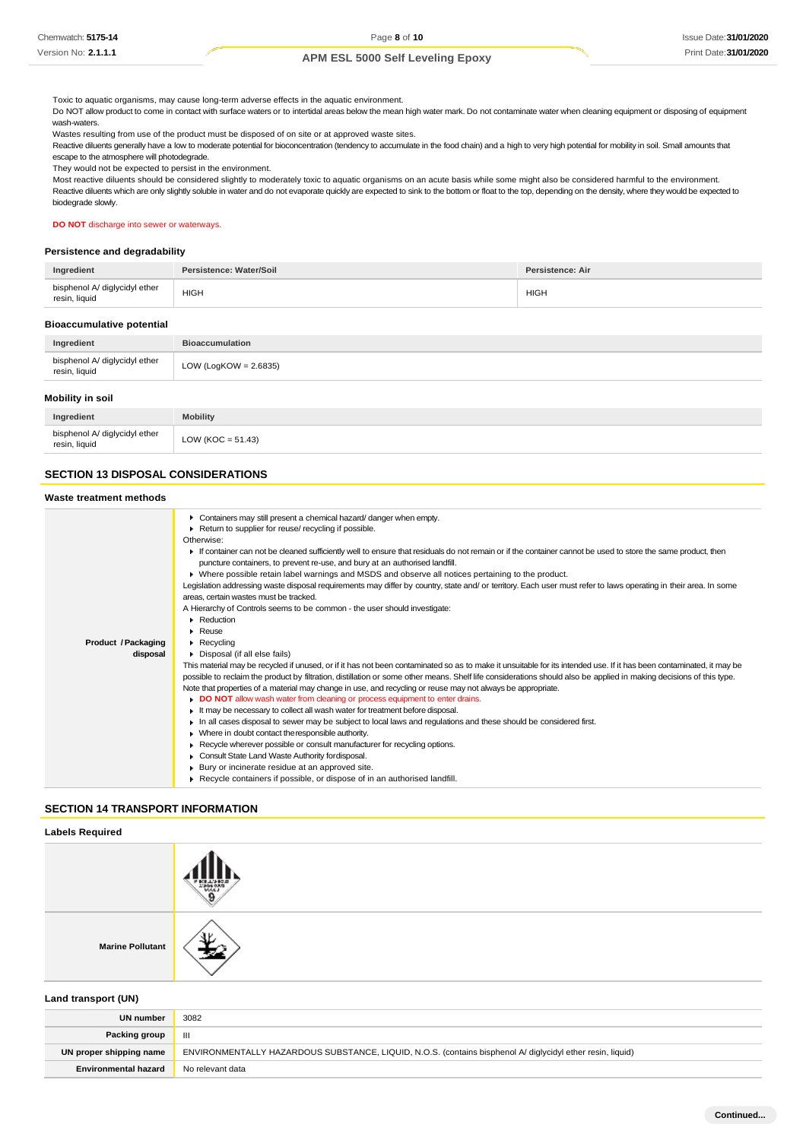Toxic to aquatic organisms, may cause long-term adverse effects in the aquatic environment.

Do NOT allow product to come in contact with surface waters or to intertidal areas below the mean high water mark. Do not contaminate water when cleaning equipment or disposing of equipment wash-waters.

Wastes resulting from use of the product must be disposed of on site or at approved waste sites.

Reactive diluents generally have a low to moderate potential for bioconcentration (tendency to accumulate in the food chain) and a high to very high potential for mobility in soil. Small amounts that escape to the atmosphere will photodegrade.

They would not be expected to persist in the environment.

Most reactive diluents should be considered slightly to moderately toxic to aquatic organisms on an acute basis while some might also be considered harmful to the environment. Reactive diluents which are only slightly soluble in water and do not evaporate quickly are expected to sink to the bottom or float to the top, depending on the density, where they would be expected to biodegrade slowly.

#### **DO NOT** discharge into sewer or waterways.

#### **Persistence and degradability**

| Ingredient                                     | Persistence: Water/Soil | <b>Persistence: Air</b> |
|------------------------------------------------|-------------------------|-------------------------|
| bisphenol A/ diglycidyl ether<br>resin, liquid | HIGH                    | <b>HIGH</b>             |

#### **Bioaccumulative potential**

| Ingredient                                     | <b>Bioaccumulation</b> |  |
|------------------------------------------------|------------------------|--|
| bisphenol A/ diglycidyl ether<br>resin, liquid | LOW (LogKOW = 2.6835)  |  |
| Mobility in soil                               |                        |  |

| naredient                                      | <b>Mobility</b>       |
|------------------------------------------------|-----------------------|
| bisphenol A/ diglycidyl ether<br>resin, liquid | LOW ( $KOC = 51.43$ ) |
|                                                |                       |

### **SECTION 13 DISPOSAL CONSIDERATIONS**

### **Waste treatment methods**

|                     | • Containers may still present a chemical hazard/ danger when empty.<br>Return to supplier for reuse/ recycling if possible.<br>Otherwise:                                                                                                 |  |  |  |
|---------------------|--------------------------------------------------------------------------------------------------------------------------------------------------------------------------------------------------------------------------------------------|--|--|--|
|                     | If container can not be cleaned sufficiently well to ensure that residuals do not remain or if the container cannot be used to store the same product, then<br>puncture containers, to prevent re-use, and bury at an authorised landfill. |  |  |  |
|                     | ▶ Where possible retain label warnings and MSDS and observe all notices pertaining to the product.                                                                                                                                         |  |  |  |
|                     | Legislation addressing waste disposal requirements may differ by country, state and/ or territory. Each user must refer to laws operating in their area. In some                                                                           |  |  |  |
|                     | areas, certain wastes must be tracked.                                                                                                                                                                                                     |  |  |  |
|                     | A Hierarchy of Controls seems to be common - the user should investigate:                                                                                                                                                                  |  |  |  |
|                     | Reduction                                                                                                                                                                                                                                  |  |  |  |
|                     | Reuse                                                                                                                                                                                                                                      |  |  |  |
| Product / Packaging | $\blacktriangleright$ Recycling                                                                                                                                                                                                            |  |  |  |
| disposal            | Disposal (if all else fails)                                                                                                                                                                                                               |  |  |  |
|                     | This material may be recycled if unused, or if it has not been contaminated so as to make it unsuitable for its intended use. If it has been contaminated, it may be                                                                       |  |  |  |
|                     | possible to reclaim the product by filtration, distillation or some other means. Shelf life considerations should also be applied in making decisions of this type.                                                                        |  |  |  |
|                     | Note that properties of a material may change in use, and recycling or reuse may not always be appropriate.                                                                                                                                |  |  |  |
|                     | • DO NOT allow wash water from cleaning or process equipment to enter drains.                                                                                                                                                              |  |  |  |
|                     | It may be necessary to collect all wash water for treatment before disposal.                                                                                                                                                               |  |  |  |
|                     | In all cases disposal to sewer may be subject to local laws and regulations and these should be considered first.                                                                                                                          |  |  |  |
|                     | • Where in doubt contact the responsible authority.                                                                                                                                                                                        |  |  |  |
|                     | Recycle wherever possible or consult manufacturer for recycling options.                                                                                                                                                                   |  |  |  |
|                     | Consult State Land Waste Authority fordisposal.                                                                                                                                                                                            |  |  |  |
|                     | Bury or incinerate residue at an approved site.                                                                                                                                                                                            |  |  |  |
|                     | Recycle containers if possible, or dispose of in an authorised landfill.                                                                                                                                                                   |  |  |  |

#### **SECTION 14 TRANSPORT INFORMATION**

#### **Labels Required**

**Marine Pollutant**

**Land transport (UN)**

| <b>UN number</b>            | 3082                                                                                                       |
|-----------------------------|------------------------------------------------------------------------------------------------------------|
| Packing group               | Ш                                                                                                          |
| UN proper shipping name     | ENVIRONMENTALLY HAZARDOUS SUBSTANCE, LIQUID, N.O.S. (contains bisphenol A/ diglycidyl ether resin, liquid) |
| <b>Environmental hazard</b> | No relevant data                                                                                           |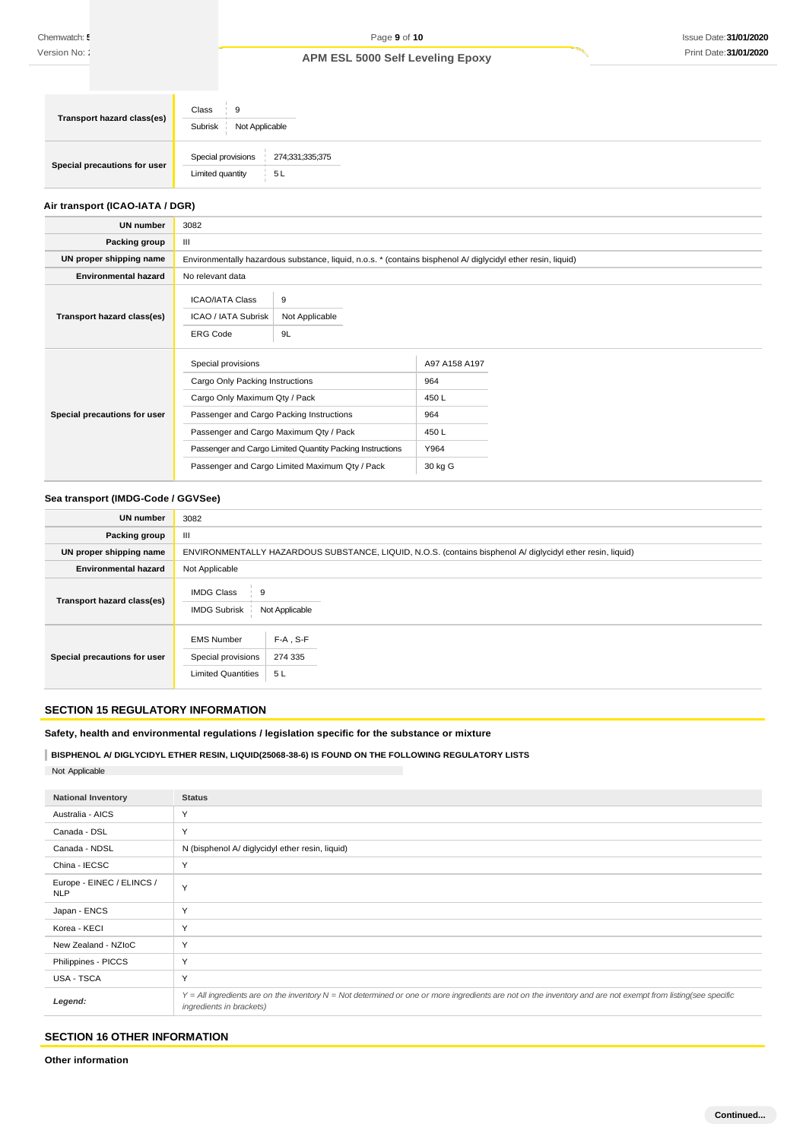| Transport hazard class(es)   | Class<br>9<br>Subrisk<br>Not Applicable                         |
|------------------------------|-----------------------------------------------------------------|
| Special precautions for user | Special provisions<br>274;331;335;375<br>Limited quantity<br>5L |

### **Air transport (ICAO-IATA / DGR)**

| <b>UN number</b>             | 3082                                                                                                                                                                                                                                                                                        |                                                                                                              |                                                                |  |
|------------------------------|---------------------------------------------------------------------------------------------------------------------------------------------------------------------------------------------------------------------------------------------------------------------------------------------|--------------------------------------------------------------------------------------------------------------|----------------------------------------------------------------|--|
| Packing group                | Ш                                                                                                                                                                                                                                                                                           |                                                                                                              |                                                                |  |
| UN proper shipping name      |                                                                                                                                                                                                                                                                                             | Environmentally hazardous substance, liquid, n.o.s. * (contains bisphenol A/ diglycidyl ether resin, liquid) |                                                                |  |
| <b>Environmental hazard</b>  | No relevant data                                                                                                                                                                                                                                                                            |                                                                                                              |                                                                |  |
| Transport hazard class(es)   | <b>ICAO/IATA Class</b><br>ICAO / IATA Subrisk<br><b>ERG Code</b>                                                                                                                                                                                                                            | 9<br>Not Applicable<br>9L                                                                                    |                                                                |  |
| Special precautions for user | Special provisions<br>Cargo Only Packing Instructions<br>Cargo Only Maximum Qty / Pack<br>Passenger and Cargo Packing Instructions<br>Passenger and Cargo Maximum Qty / Pack<br>Passenger and Cargo Limited Quantity Packing Instructions<br>Passenger and Cargo Limited Maximum Qty / Pack |                                                                                                              | A97 A158 A197<br>964<br>450L<br>964<br>450L<br>Y964<br>30 kg G |  |

### **Sea transport (IMDG-Code / GGVSee)**

| <b>UN number</b>             | 3082                                                                 |                                                                                                            |
|------------------------------|----------------------------------------------------------------------|------------------------------------------------------------------------------------------------------------|
| Packing group                | Ш                                                                    |                                                                                                            |
| UN proper shipping name      |                                                                      | ENVIRONMENTALLY HAZARDOUS SUBSTANCE, LIQUID, N.O.S. (contains bisphenol A/ diglycidyl ether resin, liquid) |
| <b>Environmental hazard</b>  | Not Applicable                                                       |                                                                                                            |
| Transport hazard class(es)   | <b>IMDG Class</b><br>9<br>Not Applicable<br><b>IMDG Subrisk</b>      |                                                                                                            |
| Special precautions for user | <b>EMS Number</b><br>Special provisions<br><b>Limited Quantities</b> | $F-A$ , S-F<br>274 335<br>5L                                                                               |

### **SECTION 15 REGULATORY INFORMATION**

**Safety, health and environmental regulations / legislation specific for the substance or mixture**

**BISPHENOL A/ DIGLYCIDYL ETHER RESIN, LIQUID(25068-38-6) IS FOUND ON THE FOLLOWING REGULATORY LISTS** Not Applicable

| <b>National Inventory</b>               | <b>Status</b>                                                                                                                                                                            |
|-----------------------------------------|------------------------------------------------------------------------------------------------------------------------------------------------------------------------------------------|
| Australia - AICS                        | Y                                                                                                                                                                                        |
| Canada - DSL                            | Y                                                                                                                                                                                        |
| Canada - NDSL                           | N (bisphenol A/ diglycidyl ether resin, liquid)                                                                                                                                          |
| China - IECSC                           | Y                                                                                                                                                                                        |
| Europe - EINEC / ELINCS /<br><b>NLP</b> | Y                                                                                                                                                                                        |
| Japan - ENCS                            | Y                                                                                                                                                                                        |
| Korea - KECI                            | Y                                                                                                                                                                                        |
| New Zealand - NZIoC                     | Y                                                                                                                                                                                        |
| Philippines - PICCS                     | Υ                                                                                                                                                                                        |
| USA - TSCA                              | Y                                                                                                                                                                                        |
| Legend:                                 | Y = All ingredients are on the inventory N = Not determined or one or more ingredients are not on the inventory and are not exempt from listing(see specific<br>ingredients in brackets) |

### **SECTION 16 OTHER INFORMATION**

**Other information**